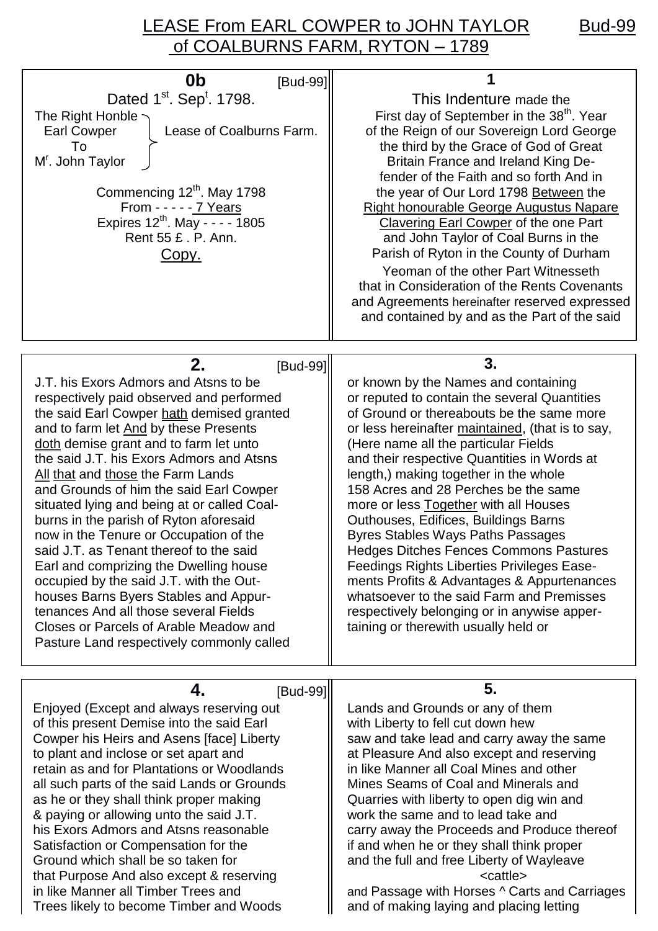## LEASE From EARL COWPER to JOHN TAYLOR Bud-99 of COALBURNS FARM, RYTON – 1789

| 0b<br>[Bud-99]<br>Dated 1 <sup>st</sup> . Sep <sup>t</sup> . 1798.<br>The Right Honble ~<br>Lease of Coalburns Farm.<br><b>Earl Cowper</b><br>To<br>M <sup>r</sup> . John Taylor<br>Commencing 12th. May 1798<br>From - - - - - 7 Years<br>Expires 12 <sup>th</sup> . May - - - - 1805<br>Rent 55 £ . P. Ann.<br><u>Copy.</u>                                                                                                                                                                                                                                                                                                                                                                                                                                                             | This Indenture made the<br>First day of September in the 38 <sup>th</sup> . Year<br>of the Reign of our Sovereign Lord George<br>the third by the Grace of God of Great<br>Britain France and Ireland King De-<br>fender of the Faith and so forth And in<br>the year of Our Lord 1798 Between the<br><b>Right honourable George Augustus Napare</b><br>Clavering Earl Cowper of the one Part<br>and John Taylor of Coal Burns in the<br>Parish of Ryton in the County of Durham<br>Yeoman of the other Part Witnesseth<br>that in Consideration of the Rents Covenants<br>and Agreements hereinafter reserved expressed<br>and contained by and as the Part of the said                                                                                                    |
|-------------------------------------------------------------------------------------------------------------------------------------------------------------------------------------------------------------------------------------------------------------------------------------------------------------------------------------------------------------------------------------------------------------------------------------------------------------------------------------------------------------------------------------------------------------------------------------------------------------------------------------------------------------------------------------------------------------------------------------------------------------------------------------------|-----------------------------------------------------------------------------------------------------------------------------------------------------------------------------------------------------------------------------------------------------------------------------------------------------------------------------------------------------------------------------------------------------------------------------------------------------------------------------------------------------------------------------------------------------------------------------------------------------------------------------------------------------------------------------------------------------------------------------------------------------------------------------|
| 2.<br>[Bud-99]                                                                                                                                                                                                                                                                                                                                                                                                                                                                                                                                                                                                                                                                                                                                                                            | 3.                                                                                                                                                                                                                                                                                                                                                                                                                                                                                                                                                                                                                                                                                                                                                                          |
| J.T. his Exors Admors and Atsns to be<br>respectively paid observed and performed<br>the said Earl Cowper hath demised granted<br>and to farm let And by these Presents<br>doth demise grant and to farm let unto<br>the said J.T. his Exors Admors and Atsns<br>All that and those the Farm Lands<br>and Grounds of him the said Earl Cowper<br>situated lying and being at or called Coal-<br>burns in the parish of Ryton aforesaid<br>now in the Tenure or Occupation of the<br>said J.T. as Tenant thereof to the said<br>Earl and comprizing the Dwelling house<br>occupied by the said J.T. with the Out-<br>houses Barns Byers Stables and Appur-<br>tenances And all those several Fields<br>Closes or Parcels of Arable Meadow and<br>Pasture Land respectively commonly called | or known by the Names and containing<br>or reputed to contain the several Quantities<br>of Ground or thereabouts be the same more<br>or less hereinafter maintained, (that is to say,<br>(Here name all the particular Fields<br>and their respective Quantities in Words at<br>length,) making together in the whole<br>158 Acres and 28 Perches be the same<br>more or less Together with all Houses<br>Outhouses, Edifices, Buildings Barns<br><b>Byres Stables Ways Paths Passages</b><br><b>Hedges Ditches Fences Commons Pastures</b><br>Feedings Rights Liberties Privileges Ease-<br>ments Profits & Advantages & Appurtenances<br>whatsoever to the said Farm and Premisses<br>respectively belonging or in anywise apper-<br>taining or therewith usually held or |
|                                                                                                                                                                                                                                                                                                                                                                                                                                                                                                                                                                                                                                                                                                                                                                                           |                                                                                                                                                                                                                                                                                                                                                                                                                                                                                                                                                                                                                                                                                                                                                                             |
| 4.<br>[Bud-99]<br>Enjoyed (Except and always reserving out<br>of this present Demise into the said Earl<br>Cowper his Heirs and Asens [face] Liberty<br>to plant and inclose or set apart and<br>retain as and for Plantations or Woodlands<br>all such parts of the said Lands or Grounds<br>as he or they shall think proper making<br>& paying or allowing unto the said J.T.<br>his Exors Admors and Atsns reasonable<br>Satisfaction or Compensation for the<br>Ground which shall be so taken for<br>that Purpose And also except & reserving<br>in like Manner all Timber Trees and<br>Trees likely to become Timber and Woods                                                                                                                                                     | 5.<br>Lands and Grounds or any of them<br>with Liberty to fell cut down hew<br>saw and take lead and carry away the same<br>at Pleasure And also except and reserving<br>in like Manner all Coal Mines and other<br>Mines Seams of Coal and Minerals and<br>Quarries with liberty to open dig win and<br>work the same and to lead take and<br>carry away the Proceeds and Produce thereof<br>if and when he or they shall think proper<br>and the full and free Liberty of Wayleave<br><cattle><br/>and Passage with Horses ^ Carts and Carriages<br/>and of making laying and placing letting</cattle>                                                                                                                                                                    |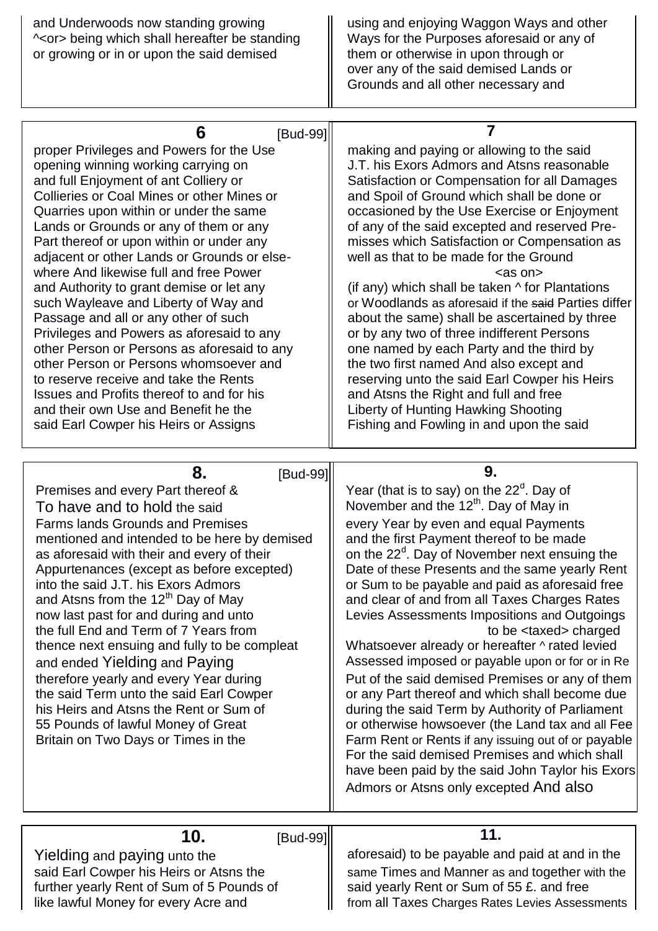| and Underwoods now standing growing<br>~< or > being which shall hereafter be standing<br>or growing or in or upon the said demised | using and enjoying Waggon Ways and other<br>Ways for the Purposes aforesaid or any of<br>them or otherwise in upon through or<br>over any of the said demised Lands or<br>Grounds and all other necessary and |
|-------------------------------------------------------------------------------------------------------------------------------------|---------------------------------------------------------------------------------------------------------------------------------------------------------------------------------------------------------------|
|                                                                                                                                     |                                                                                                                                                                                                               |
| [Bud-99]                                                                                                                            |                                                                                                                                                                                                               |
| proper Privileges and Powers for the Use                                                                                            | making and paying or allowing to the said                                                                                                                                                                     |
| opening winning working carrying on                                                                                                 | J.T. his Exors Admors and Atsns reasonable                                                                                                                                                                    |
| and full Enjoyment of ant Colliery or                                                                                               | Satisfaction or Compensation for all Damages                                                                                                                                                                  |
| Collieries or Coal Mines or other Mines or                                                                                          | and Spoil of Ground which shall be done or                                                                                                                                                                    |
| Quarries upon within or under the same                                                                                              | occasioned by the Use Exercise or Enjoyment                                                                                                                                                                   |
| Lands or Grounds or any of them or any                                                                                              | of any of the said excepted and reserved Pre-                                                                                                                                                                 |
| Part thereof or upon within or under any                                                                                            |                                                                                                                                                                                                               |
|                                                                                                                                     | misses which Satisfaction or Compensation as                                                                                                                                                                  |

where And likewise full and free Power <as on>

and Authority to grant demise or let any  $\parallel$  (if any) which shall be taken  $\wedge$  for Plantations such Wayleave and Liberty of Way and  $\parallel$  or Woodlands as aforesaid if the said Parties differ Passage and all or any other of such about the same) shall be ascertained by three Privileges and Powers as aforesaid to any  $\|\cdot\|$  or by any two of three indifferent Persons other Person or Persons as aforesaid to any  $\|\cdot\|$  one named by each Party and the third by other Person or Persons whomsoever and  $\parallel$  the two first named And also except and to reserve receive and take the Rents **reserving unto the said Earl Cowper his Heirs** Issues and Profits thereof to and for his and Atsns the Right and full and free and their own Use and Benefit he the **Act 1** Liberty of Hunting Hawking Shooting said Earl Cowper his Heirs or Assigns Fishing and Fowling in and upon the said

**8. Bud-991 9.** Premises and every Part thereof &  $\parallel$  Year (that is to say) on the 22<sup>d</sup>. Day of To have and to hold the said  $\parallel$  November and the 12<sup>th</sup>. Day of May in Farms lands Grounds and Premises **Example 1** every Year by even and equal Payments mentioned and intended to be here by demised  $\|\cdot\|$  and the first Payment thereof to be made as aforesaid with their and every of their on the 22<sup>d</sup>. Day of November next ensuing the Appurtenances (except as before excepted) Date of these Presents and the same yearly Rent into the said J.T. his Exors Admors  $\|\cdot\|$  or Sum to be payable and paid as aforesaid free and Atsns from the 12<sup>th</sup> Day of May  $\parallel$  and clear of and from all Taxes Charges Rates now last past for and during and unto  $\parallel$  Levies Assessments Impositions and Outgoings the full End and Term of 7 Years from  $\parallel$  to be <taxed> charged thence next ensuing and fully to be compleat  $\|\cdot\|$  Whatsoever already or hereafter  $\wedge$  rated levied and ended Yielding and Paying Assessed imposed or payable upon or for or in Re therefore yearly and every Year during  $\|\cdot\|$  Put of the said demised Premises or any of them the said Term unto the said Earl Cowper  $\|\cdot\|$  or any Part thereof and which shall become due his Heirs and Atsns the Rent or Sum of  $\|\cdot\|$  during the said Term by Authority of Parliament 55 Pounds of lawful Money of Great **If the U.S. Intervelly or otherwise howsoever** (the Land tax and all Fee Britain on Two Days or Times in the  $\|\cdot\|$  Farm Rent or Rents if any issuing out of or payable For the said demised Premises and which shall have been paid by the said John Taylor his Exors Admors or Atsns only excepted And also **10. IBud-991 11.** 

Yielding and paying unto the  $\parallel$  aforesaid) to be payable and paid at and in the said Earl Cowper his Heirs or Atsns the **Same Times and Manner as and together with the** further yearly Rent of Sum of 5 Pounds of  $\|\$  said yearly Rent or Sum of 55 £. and free like lawful Money for every Acre and  $\parallel$  from all Taxes Charges Rates Levies Assessments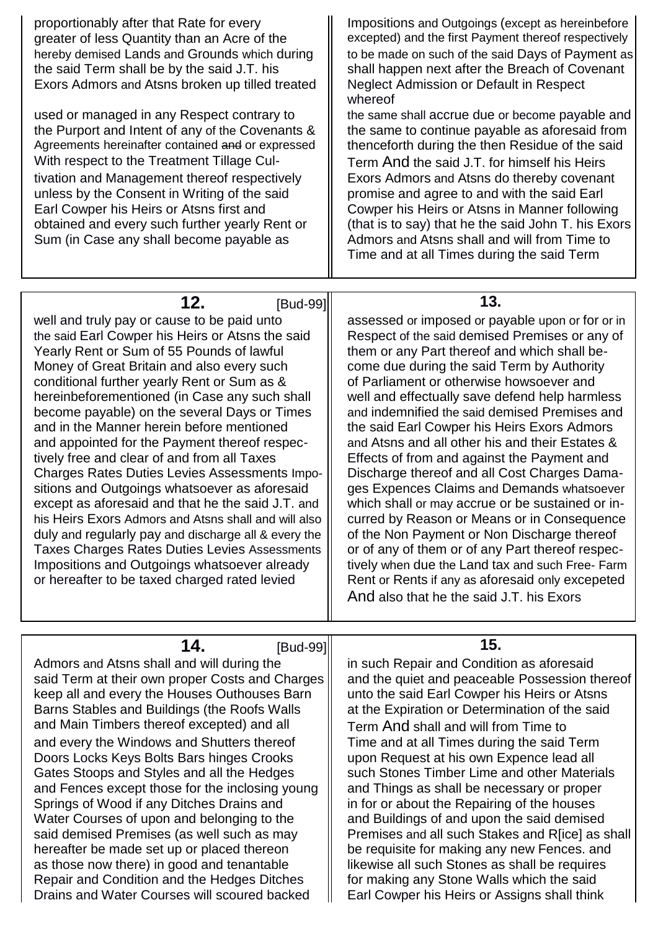| proportionably after that Rate for every<br>greater of less Quantity than an Acre of the<br>hereby demised Lands and Grounds which during<br>the said Term shall be by the said J.T. his<br>Exors Admors and Atsns broken up tilled treated<br>used or managed in any Respect contrary to<br>the Purport and Intent of any of the Covenants &<br>Agreements hereinafter contained and or expressed<br>With respect to the Treatment Tillage Cul-<br>tivation and Management thereof respectively<br>unless by the Consent in Writing of the said<br>Earl Cowper his Heirs or Atsns first and<br>obtained and every such further yearly Rent or<br>Sum (in Case any shall become payable as                                                                                                                                                                                                                                                        | Impositions and Outgoings (except as hereinbefore<br>excepted) and the first Payment thereof respectively<br>to be made on such of the said Days of Payment as<br>shall happen next after the Breach of Covenant<br><b>Neglect Admission or Default in Respect</b><br>whereof<br>the same shall accrue due or become payable and<br>the same to continue payable as aforesaid from<br>thenceforth during the then Residue of the said<br>Term And the said J.T. for himself his Heirs<br>Exors Admors and Atsns do thereby covenant<br>promise and agree to and with the said Earl<br>Cowper his Heirs or Atsns in Manner following<br>(that is to say) that he the said John T. his Exors<br>Admors and Atsns shall and will from Time to<br>Time and at all Times during the said Term                                                                                                                                                                        |
|---------------------------------------------------------------------------------------------------------------------------------------------------------------------------------------------------------------------------------------------------------------------------------------------------------------------------------------------------------------------------------------------------------------------------------------------------------------------------------------------------------------------------------------------------------------------------------------------------------------------------------------------------------------------------------------------------------------------------------------------------------------------------------------------------------------------------------------------------------------------------------------------------------------------------------------------------|-----------------------------------------------------------------------------------------------------------------------------------------------------------------------------------------------------------------------------------------------------------------------------------------------------------------------------------------------------------------------------------------------------------------------------------------------------------------------------------------------------------------------------------------------------------------------------------------------------------------------------------------------------------------------------------------------------------------------------------------------------------------------------------------------------------------------------------------------------------------------------------------------------------------------------------------------------------------|
|                                                                                                                                                                                                                                                                                                                                                                                                                                                                                                                                                                                                                                                                                                                                                                                                                                                                                                                                                   |                                                                                                                                                                                                                                                                                                                                                                                                                                                                                                                                                                                                                                                                                                                                                                                                                                                                                                                                                                 |
| 12.<br>[Bud-99]<br>well and truly pay or cause to be paid unto<br>the said Earl Cowper his Heirs or Atsns the said<br>Yearly Rent or Sum of 55 Pounds of lawful<br>Money of Great Britain and also every such<br>conditional further yearly Rent or Sum as &<br>hereinbeforementioned (in Case any such shall<br>become payable) on the several Days or Times<br>and in the Manner herein before mentioned<br>and appointed for the Payment thereof respec-<br>tively free and clear of and from all Taxes<br><b>Charges Rates Duties Levies Assessments Impo-</b><br>sitions and Outgoings whatsoever as aforesaid<br>except as aforesaid and that he the said J.T. and<br>his Heirs Exors Admors and Atsns shall and will also<br>duly and regularly pay and discharge all & every the<br><b>Taxes Charges Rates Duties Levies Assessments</b><br>Impositions and Outgoings whatsoever already<br>or hereafter to be taxed charged rated levied | 13.<br>assessed or imposed or payable upon or for or in<br>Respect of the said demised Premises or any of<br>them or any Part thereof and which shall be-<br>come due during the said Term by Authority<br>of Parliament or otherwise howsoever and<br>well and effectually save defend help harmless<br>and indemnified the said demised Premises and<br>the said Earl Cowper his Heirs Exors Admors<br>and Atsns and all other his and their Estates &<br>Effects of from and against the Payment and<br>Discharge thereof and all Cost Charges Dama-<br>ges Expences Claims and Demands whatsoever<br>which shall or may accrue or be sustained or in-<br>curred by Reason or Means or in Consequence<br>of the Non Payment or Non Discharge thereof<br>or of any of them or of any Part thereof respec-<br>tively when due the Land tax and such Free- Farm<br>Rent or Rents if any as aforesaid only excepeted<br>And also that he the said J.T. his Exors |
|                                                                                                                                                                                                                                                                                                                                                                                                                                                                                                                                                                                                                                                                                                                                                                                                                                                                                                                                                   |                                                                                                                                                                                                                                                                                                                                                                                                                                                                                                                                                                                                                                                                                                                                                                                                                                                                                                                                                                 |
| 14.<br>[Bud-99]<br>Admors and Atsns shall and will during the<br>said Term at their own proper Costs and Charges<br>keep all and every the Houses Outhouses Barn<br>Barns Stables and Buildings (the Roofs Walls<br>and Main Timbers thereof excepted) and all<br>and every the Windows and Shutters thereof<br>Doors Locks Keys Bolts Bars hinges Crooks<br>Gates Stoops and Styles and all the Hedges<br>and Fences except those for the inclosing young<br>Springs of Wood if any Ditches Drains and<br>Water Courses of upon and belonging to the<br>said demised Premises (as well such as may<br>hereafter be made set up or placed thereon<br>as those now there) in good and tenantable                                                                                                                                                                                                                                                   | 15.<br>in such Repair and Condition as aforesaid<br>and the quiet and peaceable Possession thereof<br>unto the said Earl Cowper his Heirs or Atsns<br>at the Expiration or Determination of the said<br>Term And shall and will from Time to<br>Time and at all Times during the said Term<br>upon Request at his own Expence lead all<br>such Stones Timber Lime and other Materials<br>and Things as shall be necessary or proper<br>in for or about the Repairing of the houses<br>and Buildings of and upon the said demised<br>Premises and all such Stakes and R[ice] as shall<br>be requisite for making any new Fences. and<br>likewise all such Stones as shall be requires                                                                                                                                                                                                                                                                            |

Repair and Condition and the Hedges Ditches <br>
Drains and Water Courses will scoured backed <br>
Earl Cowper his Heirs or Assigns shall think

Repair and Condition and the Hedges Ditches<br>Drains and Water Courses will scoured backed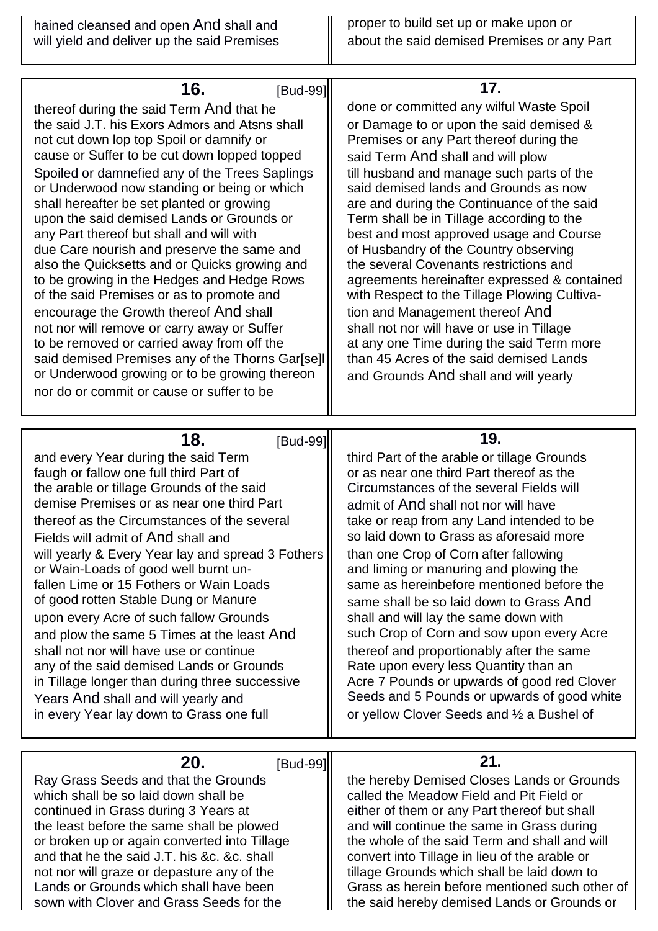| 16.<br>[Bud-99]<br>thereof during the said Term And that he<br>the said J.T. his Exors Admors and Atsns shall<br>not cut down lop top Spoil or damnify or<br>cause or Suffer to be cut down lopped topped<br>Spoiled or damnefied any of the Trees Saplings<br>or Underwood now standing or being or which<br>shall hereafter be set planted or growing<br>upon the said demised Lands or Grounds or<br>any Part thereof but shall and will with<br>due Care nourish and preserve the same and<br>also the Quicksetts and or Quicks growing and<br>to be growing in the Hedges and Hedge Rows<br>of the said Premises or as to promote and<br>encourage the Growth thereof And shall<br>not nor will remove or carry away or Suffer<br>to be removed or carried away from off the<br>said demised Premises any of the Thorns Gar[se]l<br>or Underwood growing or to be growing thereon<br>nor do or commit or cause or suffer to be | 17.<br>done or committed any wilful Waste Spoil<br>or Damage to or upon the said demised &<br>Premises or any Part thereof during the<br>said Term And shall and will plow<br>till husband and manage such parts of the<br>said demised lands and Grounds as now<br>are and during the Continuance of the said<br>Term shall be in Tillage according to the<br>best and most approved usage and Course<br>of Husbandry of the Country observing<br>the several Covenants restrictions and<br>agreements hereinafter expressed & contained<br>with Respect to the Tillage Plowing Cultiva-<br>tion and Management thereof And<br>shall not nor will have or use in Tillage<br>at any one Time during the said Term more<br>than 45 Acres of the said demised Lands<br>and Grounds And shall and will yearly |
|-------------------------------------------------------------------------------------------------------------------------------------------------------------------------------------------------------------------------------------------------------------------------------------------------------------------------------------------------------------------------------------------------------------------------------------------------------------------------------------------------------------------------------------------------------------------------------------------------------------------------------------------------------------------------------------------------------------------------------------------------------------------------------------------------------------------------------------------------------------------------------------------------------------------------------------|------------------------------------------------------------------------------------------------------------------------------------------------------------------------------------------------------------------------------------------------------------------------------------------------------------------------------------------------------------------------------------------------------------------------------------------------------------------------------------------------------------------------------------------------------------------------------------------------------------------------------------------------------------------------------------------------------------------------------------------------------------------------------------------------------------|
| 18.<br>[Bud-99]<br>and every Year during the said Term<br>faugh or fallow one full third Part of<br>the arable or tillage Grounds of the said<br>demise Premises or as near one third Part<br>thereof as the Circumstances of the several<br>Fields will admit of And shall and<br>will yearly & Every Year lay and spread 3 Fothers<br>or Wain-Loads of good well burnt un-<br>fallen Lime or 15 Fothers or Wain Loads<br>of good rotten Stable Dung or Manure<br>upon every Acre of such fallow Grounds<br>and plow the same 5 Times at the least And<br>shall not nor will have use or continue<br>any of the said demised Lands or Grounds<br>in Tillage longer than during three successive<br>Years And shall and will yearly and<br>in every Year lay down to Grass one full                                                                                                                                                 | 19.<br>third Part of the arable or tillage Grounds<br>or as near one third Part thereof as the<br>Circumstances of the several Fields will<br>admit of And shall not nor will have<br>take or reap from any Land intended to be<br>so laid down to Grass as aforesaid more<br>than one Crop of Corn after fallowing<br>and liming or manuring and plowing the<br>same as hereinbefore mentioned before the<br>same shall be so laid down to Grass And<br>shall and will lay the same down with<br>such Crop of Corn and sow upon every Acre<br>thereof and proportionably after the same<br>Rate upon every less Quantity than an<br>Acre 7 Pounds or upwards of good red Clover<br>Seeds and 5 Pounds or upwards of good white<br>or yellow Clover Seeds and 1/2 a Bushel of                              |
| 20.<br>[Bud-99]<br>Ray Grass Seeds and that the Grounds<br>which shall be so laid down shall be<br>continued in Grass during 3 Years at<br>the least before the same shall be plowed<br>or broken up or again converted into Tillage<br>and that he the said J.T. his &c. &c. shall<br>not nor will graze or depasture any of the<br>Lands or Grounds which shall have been<br>sown with Clover and Grass Seeds for the                                                                                                                                                                                                                                                                                                                                                                                                                                                                                                             | 21.<br>the hereby Demised Closes Lands or Grounds<br>called the Meadow Field and Pit Field or<br>either of them or any Part thereof but shall<br>and will continue the same in Grass during<br>the whole of the said Term and shall and will<br>convert into Tillage in lieu of the arable or<br>tillage Grounds which shall be laid down to<br>Grass as herein before mentioned such other of<br>the said hereby demised Lands or Grounds or                                                                                                                                                                                                                                                                                                                                                              |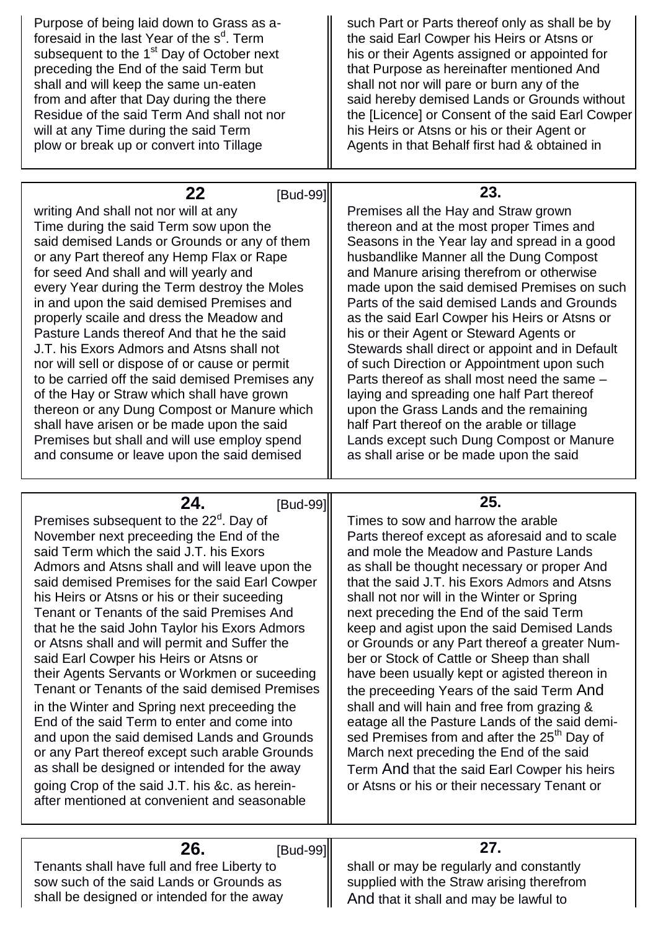| Purpose of being laid down to Grass as a-<br>foresaid in the last Year of the s <sup>d</sup> . Term<br>subsequent to the 1 <sup>st</sup> Day of October next<br>preceding the End of the said Term but<br>shall and will keep the same un-eaten<br>from and after that Day during the there<br>Residue of the said Term And shall not nor<br>will at any Time during the said Term<br>plow or break up or convert into Tillage                                                                                                                                                                                                                                                                                                                                                                                                                                                                                                                | such Part or Parts thereof only as shall be by<br>the said Earl Cowper his Heirs or Atsns or<br>his or their Agents assigned or appointed for<br>that Purpose as hereinafter mentioned And<br>shall not nor will pare or burn any of the<br>said hereby demised Lands or Grounds without<br>the [Licence] or Consent of the said Earl Cowper<br>his Heirs or Atsns or his or their Agent or<br>Agents in that Behalf first had & obtained in                                                                                                                                                                                                                                                                                                                                                                                                                             |
|-----------------------------------------------------------------------------------------------------------------------------------------------------------------------------------------------------------------------------------------------------------------------------------------------------------------------------------------------------------------------------------------------------------------------------------------------------------------------------------------------------------------------------------------------------------------------------------------------------------------------------------------------------------------------------------------------------------------------------------------------------------------------------------------------------------------------------------------------------------------------------------------------------------------------------------------------|--------------------------------------------------------------------------------------------------------------------------------------------------------------------------------------------------------------------------------------------------------------------------------------------------------------------------------------------------------------------------------------------------------------------------------------------------------------------------------------------------------------------------------------------------------------------------------------------------------------------------------------------------------------------------------------------------------------------------------------------------------------------------------------------------------------------------------------------------------------------------|
|                                                                                                                                                                                                                                                                                                                                                                                                                                                                                                                                                                                                                                                                                                                                                                                                                                                                                                                                               |                                                                                                                                                                                                                                                                                                                                                                                                                                                                                                                                                                                                                                                                                                                                                                                                                                                                          |
| 22<br>[Bud-99]<br>writing And shall not nor will at any<br>Time during the said Term sow upon the<br>said demised Lands or Grounds or any of them<br>or any Part thereof any Hemp Flax or Rape<br>for seed And shall and will yearly and<br>every Year during the Term destroy the Moles<br>in and upon the said demised Premises and<br>properly scaile and dress the Meadow and<br>Pasture Lands thereof And that he the said<br>J.T. his Exors Admors and Atsns shall not<br>nor will sell or dispose of or cause or permit<br>to be carried off the said demised Premises any<br>of the Hay or Straw which shall have grown<br>thereon or any Dung Compost or Manure which<br>shall have arisen or be made upon the said<br>Premises but shall and will use employ spend<br>and consume or leave upon the said demised                                                                                                                    | 23.<br>Premises all the Hay and Straw grown<br>thereon and at the most proper Times and<br>Seasons in the Year lay and spread in a good<br>husbandlike Manner all the Dung Compost<br>and Manure arising therefrom or otherwise<br>made upon the said demised Premises on such<br>Parts of the said demised Lands and Grounds<br>as the said Earl Cowper his Heirs or Atsns or<br>his or their Agent or Steward Agents or<br>Stewards shall direct or appoint and in Default<br>of such Direction or Appointment upon such<br>Parts thereof as shall most need the same -<br>laying and spreading one half Part thereof<br>upon the Grass Lands and the remaining<br>half Part thereof on the arable or tillage<br>Lands except such Dung Compost or Manure<br>as shall arise or be made upon the said                                                                   |
| 24.<br><b>IBud-991</b>                                                                                                                                                                                                                                                                                                                                                                                                                                                                                                                                                                                                                                                                                                                                                                                                                                                                                                                        | 25.                                                                                                                                                                                                                                                                                                                                                                                                                                                                                                                                                                                                                                                                                                                                                                                                                                                                      |
| Premises subsequent to the 22 <sup>d</sup> . Day of<br>November next preceeding the End of the<br>said Term which the said J.T. his Exors<br>Admors and Atsns shall and will leave upon the<br>said demised Premises for the said Earl Cowper<br>his Heirs or Atsns or his or their suceeding<br>Tenant or Tenants of the said Premises And<br>that he the said John Taylor his Exors Admors<br>or Atsns shall and will permit and Suffer the<br>said Earl Cowper his Heirs or Atsns or<br>their Agents Servants or Workmen or suceeding<br>Tenant or Tenants of the said demised Premises<br>in the Winter and Spring next preceeding the<br>End of the said Term to enter and come into<br>and upon the said demised Lands and Grounds<br>or any Part thereof except such arable Grounds<br>as shall be designed or intended for the away<br>going Crop of the said J.T. his &c. as herein-<br>after mentioned at convenient and seasonable | Times to sow and harrow the arable<br>Parts thereof except as aforesaid and to scale<br>and mole the Meadow and Pasture Lands<br>as shall be thought necessary or proper And<br>that the said J.T. his Exors Admors and Atsns<br>shall not nor will in the Winter or Spring<br>next preceding the End of the said Term<br>keep and agist upon the said Demised Lands<br>or Grounds or any Part thereof a greater Num-<br>ber or Stock of Cattle or Sheep than shall<br>have been usually kept or agisted thereon in<br>the preceeding Years of the said Term And<br>shall and will hain and free from grazing &<br>eatage all the Pasture Lands of the said demi-<br>sed Premises from and after the 25 <sup>th</sup> Day of<br>March next preceding the End of the said<br>Term And that the said Earl Cowper his heirs<br>or Atsns or his or their necessary Tenant or |
|                                                                                                                                                                                                                                                                                                                                                                                                                                                                                                                                                                                                                                                                                                                                                                                                                                                                                                                                               | 27.                                                                                                                                                                                                                                                                                                                                                                                                                                                                                                                                                                                                                                                                                                                                                                                                                                                                      |
| 26.<br>[Bud-99]<br>Tenants shall have full and free Liberty to<br>sow such of the said Lands or Grounds as<br>shall be designed or intended for the away                                                                                                                                                                                                                                                                                                                                                                                                                                                                                                                                                                                                                                                                                                                                                                                      | shall or may be regularly and constantly<br>supplied with the Straw arising therefrom<br>And that it shall and may be lawful to                                                                                                                                                                                                                                                                                                                                                                                                                                                                                                                                                                                                                                                                                                                                          |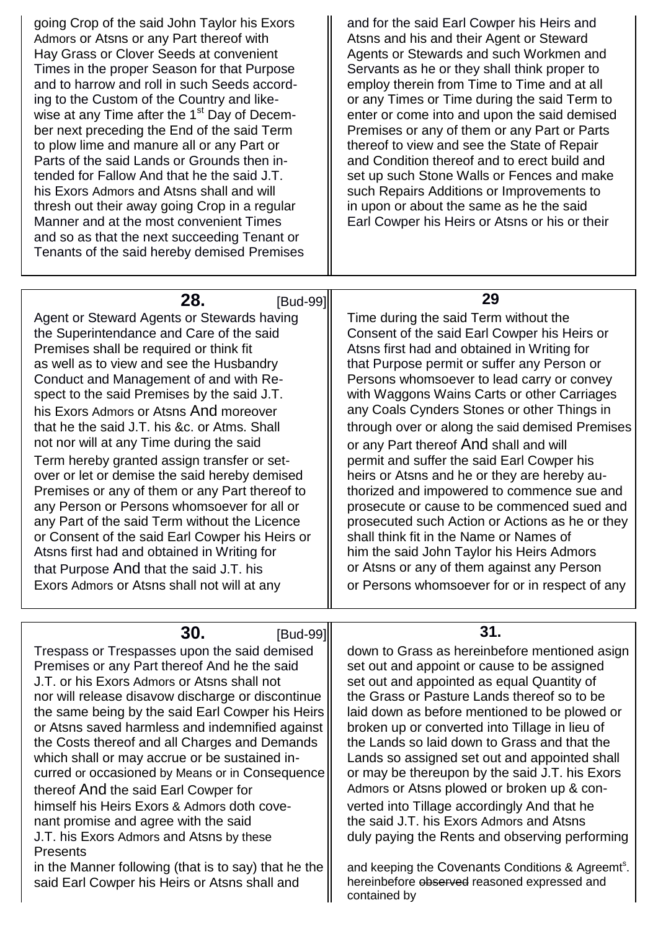going Crop of the said John Taylor his Exors  $\|\cdot\|$  and for the said Earl Cowper his Heirs and Admors or Atsns or any Part thereof with  $\|\cdot\|$  Atsns and his and their Agent or Steward Hay Grass or Clover Seeds at convenient Hagents or Stewards and such Workmen and Times in the proper Season for that Purpose  $\|\cdot\|$  Servants as he or they shall think proper to and to harrow and roll in such Seeds accord-<br>  $\parallel$  employ therein from Time to Time and at all ing to the Custom of the Country and like-  $\|\cdot\|$  or any Times or Time during the said Term to wise at any Time after the 1<sup>st</sup> Day of Decem-<br>  $\begin{array}{|l|l|}\n\hline\n\end{array}$  enter or come into and upon the said demised<br>  $\begin{array}{|l|l|}\n\hline\n\end{array}$  enter or come into and upon the said demised<br>  $\begin{array}{|l|l|}\n\hline\n\end{array}$  enter or Premises or any of them or any Part or Parts to plow lime and manure all or any Part or  $\parallel$  thereof to view and see the State of Repair Parts of the said Lands or Grounds then in-<br>  $\|\cdot\|$  and Condition thereof and to erect build and tended for Fallow And that he the said J.T.  $\|\cdot\|$  set up such Stone Walls or Fences and make his Exors Admors and Atsns shall and will **Starff and Repairs Additions or Improvements to** thresh out their away going Crop in a regular  $\|\cdot\|$  in upon or about the same as he the said Manner and at the most convenient Times  $\|\cdot\|$  Earl Cowper his Heirs or Atsns or his or their and so as that the next succeeding Tenant or Tenants of the said hereby demised Premises

**28. IBud-991 29** 

Agent or Steward Agents or Stewards having  $\|\cdot\|$  Time during the said Term without the the Superintendance and Care of the said Consent of the said Earl Cowper his Heirs or Premises shall be required or think fit **Atsns** first had and obtained in Writing for as well as to view and see the Husbandry  $\parallel$  that Purpose permit or suffer any Person or Conduct and Management of and with  $Re$ -  $\parallel$  Persons whomsoever to lead carry or convey spect to the said Premises by the said J.T.  $\|\cdot\|$  with Waggons Wains Carts or other Carriages his Exors Admors or Atsns And moreover **All any Coals Cynders Stones or other Things in** that he the said J.T. his &c. or Atms. Shall  $\|\cdot\|$  through over or along the said demised Premises not nor will at any Time during the said  $\|\cdot\|$  or any Part thereof And shall and will Term hereby granted assign transfer or set-<br>  $\parallel$  permit and suffer the said Earl Cowper his over or let or demise the said hereby demised  $\|\cdot\|$  heirs or Atsns and he or they are hereby au-Premises or any of them or any Part thereof to  $\|\cdot\|$  thorized and impowered to commence sue and any Person or Persons whomsoever for all or  $\|\cdot\|$  prosecute or cause to be commenced sued and any Part of the said Term without the Licence  $\|\cdot\|$  prosecuted such Action or Actions as he or they or Consent of the said Earl Cowper his Heirs or  $\parallel$  shall think fit in the Name or Names of Atsns first had and obtained in Writing for  $\|\cdot\|$  him the said John Taylor his Heirs Admors that Purpose And that the said J.T. his  $\|\cdot\|$  or Atsns or any of them against any Person Exors Admors or Atsns shall not will at any  $\|\cdot\|$  or Persons whomsoever for or in respect of any

**30. IBud-991 31.** Trespass or Trespasses upon the said demised  $\parallel$  down to Grass as hereinbefore mentioned asign Premises or any Part thereof And he the said  $\|\cdot\|$  set out and appoint or cause to be assigned J.T. or his Exors Admors or Atsns shall not  $\|\cdot\|$  set out and appointed as equal Quantity of nor will release disavow discharge or discontinue  $\|\cdot\|$  the Grass or Pasture Lands thereof so to be the same being by the said Earl Cowper his Heirs  $\|\cdot\|$  laid down as before mentioned to be plowed or or Atsns saved harmless and indemnified against  $\parallel$  broken up or converted into Tillage in lieu of the Costs thereof and all Charges and Demands  $\parallel$  the Lands so laid down to Grass and that the which shall or may accrue or be sustained in-<br>  $\|\cdot\|$  Lands so assigned set out and appointed shall curred or occasioned by Means or in Consequence  $\parallel$  or may be thereupon by the said J.T. his Exors thereof And the said Earl Cowper for  $\parallel$  Admors or Atsns plowed or broken up & conhimself his Heirs Exors & Admors doth cove-<br>  $\parallel$  verted into Tillage accordingly And that he nant promise and agree with the said  $\parallel$  the said J.T. his Exors Admors and Atsns J.T. his Exors Admors and Atsns by these **Presents** duly paying the Rents and observing performing in the Manner following (that is to say) that he the and keeping the Covenants Conditions & Agreemt<sup>s</sup>. said Earl Cowper his Heirs or Atsns shall and  $\|\cdot\|$  hereinbefore observed reasoned expressed and contained by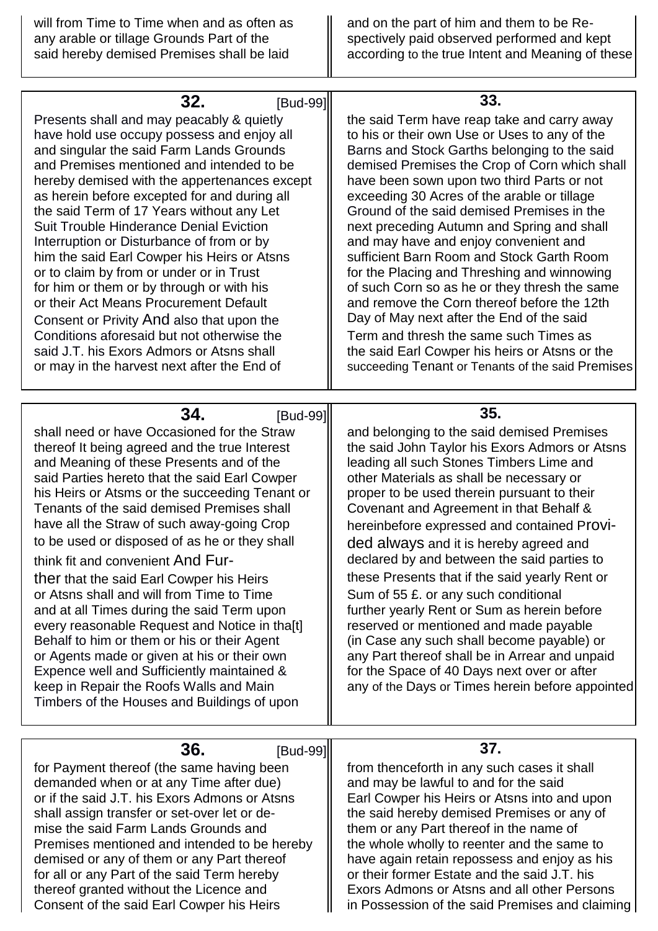| will from Time to Time when and as often as<br>any arable or tillage Grounds Part of the<br>said hereby demised Premises shall be laid                                                                                                                                                                                                                                                                                                                                                                                                                                                                                                                                                                                                                                                                                                                                         | and on the part of him and them to be Re-<br>spectively paid observed performed and kept<br>according to the true Intent and Meaning of these                                                                                                                                                                                                                                                                                                                                                                                                                                                                                                                                                                                                                                                                                    |
|--------------------------------------------------------------------------------------------------------------------------------------------------------------------------------------------------------------------------------------------------------------------------------------------------------------------------------------------------------------------------------------------------------------------------------------------------------------------------------------------------------------------------------------------------------------------------------------------------------------------------------------------------------------------------------------------------------------------------------------------------------------------------------------------------------------------------------------------------------------------------------|----------------------------------------------------------------------------------------------------------------------------------------------------------------------------------------------------------------------------------------------------------------------------------------------------------------------------------------------------------------------------------------------------------------------------------------------------------------------------------------------------------------------------------------------------------------------------------------------------------------------------------------------------------------------------------------------------------------------------------------------------------------------------------------------------------------------------------|
|                                                                                                                                                                                                                                                                                                                                                                                                                                                                                                                                                                                                                                                                                                                                                                                                                                                                                |                                                                                                                                                                                                                                                                                                                                                                                                                                                                                                                                                                                                                                                                                                                                                                                                                                  |
| 32.<br>[Bud-99]<br>Presents shall and may peacably & quietly<br>have hold use occupy possess and enjoy all<br>and singular the said Farm Lands Grounds<br>and Premises mentioned and intended to be<br>hereby demised with the appertenances except<br>as herein before excepted for and during all<br>the said Term of 17 Years without any Let<br><b>Suit Trouble Hinderance Denial Eviction</b><br>Interruption or Disturbance of from or by<br>him the said Earl Cowper his Heirs or Atsns<br>or to claim by from or under or in Trust<br>for him or them or by through or with his<br>or their Act Means Procurement Default<br>Consent or Privity And also that upon the<br>Conditions aforesaid but not otherwise the<br>said J.T. his Exors Admors or Atsns shall<br>or may in the harvest next after the End of                                                       | 33.<br>the said Term have reap take and carry away<br>to his or their own Use or Uses to any of the<br>Barns and Stock Garths belonging to the said<br>demised Premises the Crop of Corn which shall<br>have been sown upon two third Parts or not<br>exceeding 30 Acres of the arable or tillage<br>Ground of the said demised Premises in the<br>next preceding Autumn and Spring and shall<br>and may have and enjoy convenient and<br>sufficient Barn Room and Stock Garth Room<br>for the Placing and Threshing and winnowing<br>of such Corn so as he or they thresh the same<br>and remove the Corn thereof before the 12th<br>Day of May next after the End of the said<br>Term and thresh the same such Times as<br>the said Earl Cowper his heirs or Atsns or the<br>succeeding Tenant or Tenants of the said Premises |
|                                                                                                                                                                                                                                                                                                                                                                                                                                                                                                                                                                                                                                                                                                                                                                                                                                                                                |                                                                                                                                                                                                                                                                                                                                                                                                                                                                                                                                                                                                                                                                                                                                                                                                                                  |
| 34.<br>[Bud-99]<br>shall need or have Occasioned for the Straw<br>thereof It being agreed and the true Interest<br>and Meaning of these Presents and of the<br>said Parties hereto that the said Earl Cowper<br>his Heirs or Atsms or the succeeding Tenant or<br>Tenants of the said demised Premises shall<br>have all the Straw of such away-going Crop<br>to be used or disposed of as he or they shall<br>think fit and convenient And Fur-<br>ther that the said Earl Cowper his Heirs<br>or Atsns shall and will from Time to Time<br>and at all Times during the said Term upon<br>every reasonable Request and Notice in tha[t]<br>Behalf to him or them or his or their Agent<br>or Agents made or given at his or their own<br>Expence well and Sufficiently maintained &<br>keep in Repair the Roofs Walls and Main<br>Timbers of the Houses and Buildings of upon | 35.<br>and belonging to the said demised Premises<br>the said John Taylor his Exors Admors or Atsns<br>leading all such Stones Timbers Lime and<br>other Materials as shall be necessary or<br>proper to be used therein pursuant to their<br>Covenant and Agreement in that Behalf &<br>hereinbefore expressed and contained Provi-<br>ded always and it is hereby agreed and<br>declared by and between the said parties to<br>these Presents that if the said yearly Rent or<br>Sum of 55 £. or any such conditional<br>further yearly Rent or Sum as herein before<br>reserved or mentioned and made payable<br>(in Case any such shall become payable) or<br>any Part thereof shall be in Arrear and unpaid<br>for the Space of 40 Days next over or after<br>any of the Days or Times herein before appointed              |
| 36.<br>[Bud-99]                                                                                                                                                                                                                                                                                                                                                                                                                                                                                                                                                                                                                                                                                                                                                                                                                                                                | 37.                                                                                                                                                                                                                                                                                                                                                                                                                                                                                                                                                                                                                                                                                                                                                                                                                              |
| for Payment thereof (the same having been<br>demanded when or at any Time after due)<br>or if the said J.T. his Exors Admons or Atsns<br>shall assign transfer or set-over let or de-<br>mise the said Farm Lands Grounds and<br>Premises mentioned and intended to be hereby<br>demised or any of them or any Part thereof                                                                                                                                                                                                                                                                                                                                                                                                                                                                                                                                                    | from thenceforth in any such cases it shall<br>and may be lawful to and for the said<br>Earl Cowper his Heirs or Atsns into and upon<br>the said hereby demised Premises or any of<br>them or any Part thereof in the name of<br>the whole wholly to reenter and the same to<br>have again retain repossess and enjoy as his                                                                                                                                                                                                                                                                                                                                                                                                                                                                                                     |

for all or any Part of the said Term hereby  $\|\quad$  or their former Estate and the said J.T. his thereof granted without the Licence and **Exors Admons or Atsns and all other Persons**<br>
Consent of the said Earl Cowper his Heirs **Exors Admons or Atsns and all other Persons** 

in Possession of the said Premises and claiming